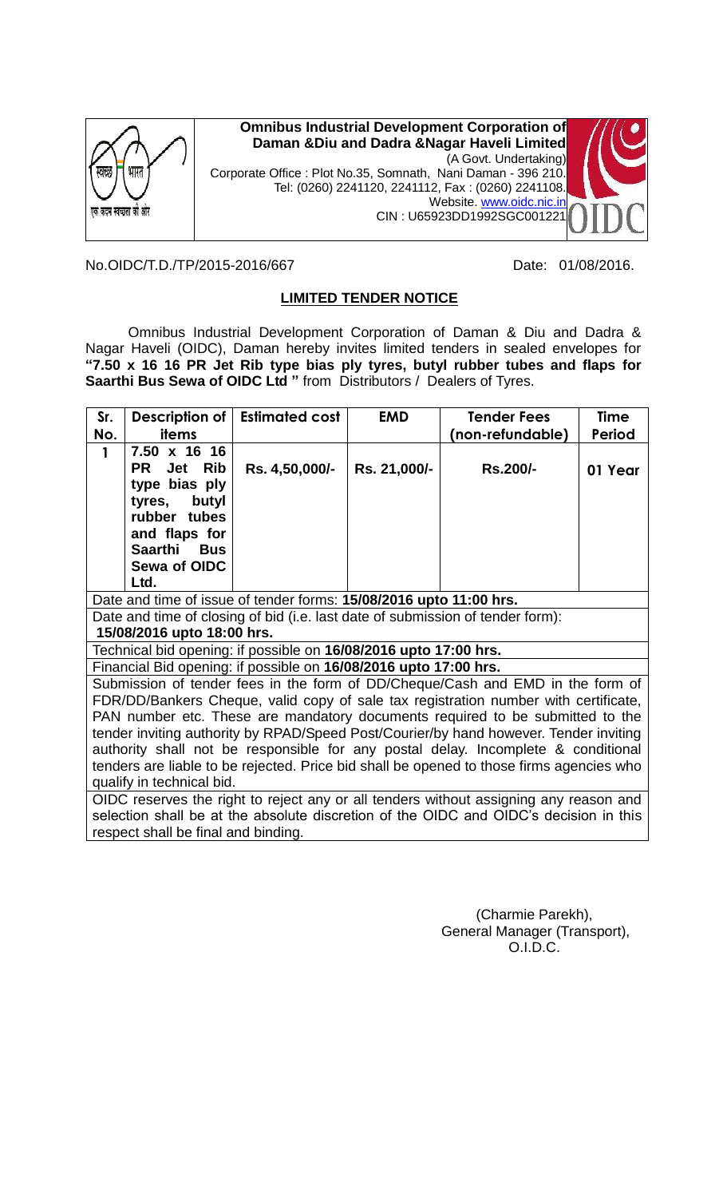

## No.OIDC/T.D./TP/2015-2016/667 Date: 01/08/2016.

### **LIMITED TENDER NOTICE**

Omnibus Industrial Development Corporation of Daman & Diu and Dadra & Nagar Haveli (OIDC), Daman hereby invites limited tenders in sealed envelopes for **"7.50 x 16 16 PR Jet Rib type bias ply tyres, butyl rubber tubes and flaps for Saarthi Bus Sewa of OIDC Ltd "** from Distributors / Dealers of Tyres.

| Sr.                                                                                                                                                                                                                                                                                                                                                                                                                                                                                                                                                           | Description of                                                                                                                                                                            | <b>Estimated cost</b> | <b>EMD</b>   | <b>Tender Fees</b> | <b>Time</b> |
|---------------------------------------------------------------------------------------------------------------------------------------------------------------------------------------------------------------------------------------------------------------------------------------------------------------------------------------------------------------------------------------------------------------------------------------------------------------------------------------------------------------------------------------------------------------|-------------------------------------------------------------------------------------------------------------------------------------------------------------------------------------------|-----------------------|--------------|--------------------|-------------|
| No.                                                                                                                                                                                                                                                                                                                                                                                                                                                                                                                                                           | items                                                                                                                                                                                     |                       |              | (non-refundable)   | Period      |
| 1                                                                                                                                                                                                                                                                                                                                                                                                                                                                                                                                                             | $7.50 \times 16$ 16<br>Jet<br><b>Rib</b><br><b>PR</b><br>type bias ply<br>butyl<br>tyres,<br>rubber tubes<br>and flaps for<br><b>Saarthi</b><br><b>Bus</b><br><b>Sewa of OIDC</b><br>Ltd. | Rs. 4,50,000/-        | Rs. 21,000/- | <b>Rs.200/-</b>    | 01 Year     |
|                                                                                                                                                                                                                                                                                                                                                                                                                                                                                                                                                               |                                                                                                                                                                                           |                       |              |                    |             |
| Date and time of issue of tender forms: 15/08/2016 upto 11:00 hrs.<br>Date and time of closing of bid (i.e. last date of submission of tender form):<br>15/08/2016 upto 18:00 hrs.                                                                                                                                                                                                                                                                                                                                                                            |                                                                                                                                                                                           |                       |              |                    |             |
| Technical bid opening: if possible on 16/08/2016 upto 17:00 hrs.                                                                                                                                                                                                                                                                                                                                                                                                                                                                                              |                                                                                                                                                                                           |                       |              |                    |             |
| Financial Bid opening: if possible on 16/08/2016 upto 17:00 hrs.                                                                                                                                                                                                                                                                                                                                                                                                                                                                                              |                                                                                                                                                                                           |                       |              |                    |             |
| Submission of tender fees in the form of DD/Cheque/Cash and EMD in the form of<br>FDR/DD/Bankers Cheque, valid copy of sale tax registration number with certificate,<br>PAN number etc. These are mandatory documents required to be submitted to the<br>tender inviting authority by RPAD/Speed Post/Courier/by hand however. Tender inviting<br>authority shall not be responsible for any postal delay. Incomplete & conditional<br>tenders are liable to be rejected. Price bid shall be opened to those firms agencies who<br>qualify in technical bid. |                                                                                                                                                                                           |                       |              |                    |             |
| OIDC reserves the right to reject any or all tenders without assigning any reason and<br>selection shall be at the absolute discretion of the OIDC and OIDC's decision in this<br>respect shall be final and binding.                                                                                                                                                                                                                                                                                                                                         |                                                                                                                                                                                           |                       |              |                    |             |

(Charmie Parekh), General Manager (Transport), O.I.D.C.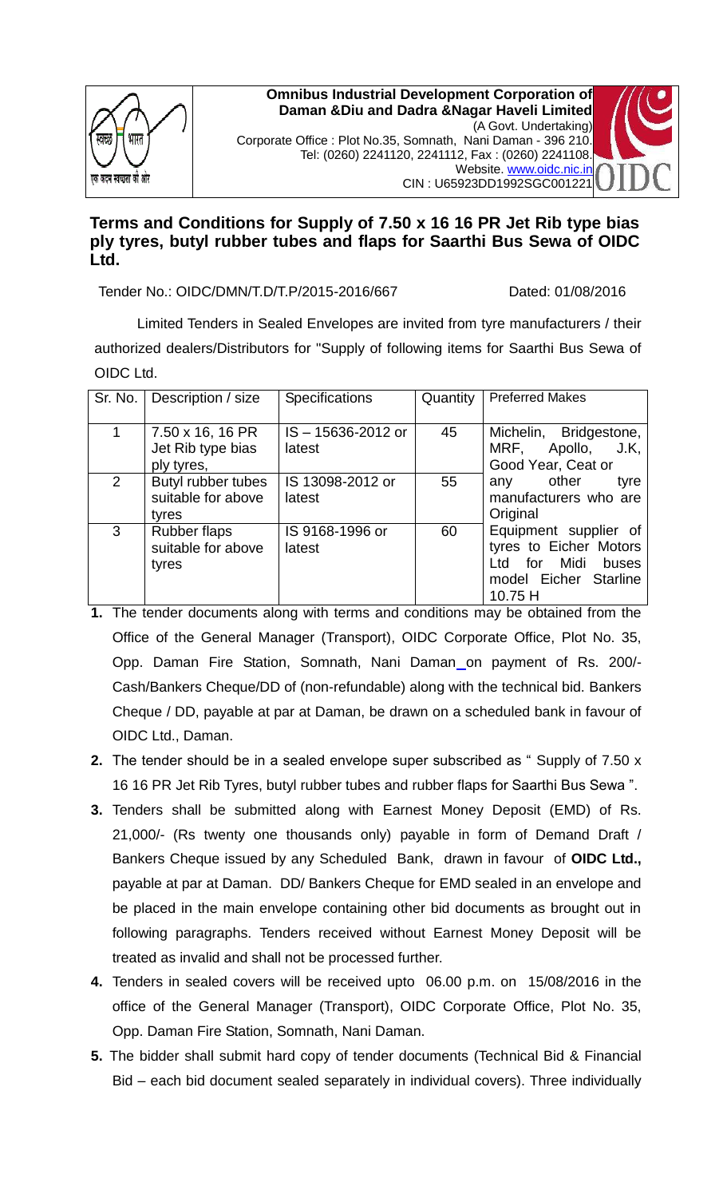

**Omnibus Industrial Development Corporation of Daman &Diu and Dadra &Nagar Haveli Limited** (A Govt. Undertaking) Corporate Office : Plot No.35, Somnath, Nani Daman - 396 210. Tel: (0260) 2241120, 2241112, Fax : (0260) 2241108. Website. [www.oidc.nic.in](http://www.oidc.nic.in/) CIN : U65923DD1992SGC001221



Tender No.: OIDC/DMN/T.D/T.P/2015-2016/667 Dated: 01/08/2016

Limited Tenders in Sealed Envelopes are invited from tyre manufacturers / their authorized dealers/Distributors for "Supply of following items for Saarthi Bus Sewa of OIDC Ltd.

|                | Sr. No.   Description / size                        | <b>Specifications</b>      | Quantity | <b>Preferred Makes</b>                                                                                       |
|----------------|-----------------------------------------------------|----------------------------|----------|--------------------------------------------------------------------------------------------------------------|
|                | 7.50 x 16, 16 PR<br>Jet Rib type bias<br>ply tyres, | IS-15636-2012 or<br>latest | 45       | Michelin, Bridgestone,<br>MRF, Apollo, J.K,<br>Good Year, Ceat or                                            |
| $\overline{2}$ | Butyl rubber tubes<br>suitable for above<br>tyres   | IS 13098-2012 or<br>latest | 55       | any other<br>tyre<br>manufacturers who are<br>Original                                                       |
| 3              | <b>Rubber flaps</b><br>suitable for above<br>tyres  | IS 9168-1996 or<br>latest  | 60       | Equipment supplier of<br>tyres to Eicher Motors<br>for Midi buses<br>Ltd<br>model Eicher Starline<br>10.75 H |

- **1.** The tender documents along with terms and conditions may be obtained from the Office of the General Manager (Transport), OIDC Corporate Office, Plot No. 35, Opp. Daman Fire Station, Somnath, Nani Daman\_on payment of Rs. 200/-Cash/Bankers Cheque/DD of (non-refundable) along with the technical bid. Bankers Cheque / DD, payable at par at Daman, be drawn on a scheduled bank in favour of OIDC Ltd., Daman.
- **2.** The tender should be in a sealed envelope super subscribed as " Supply of 7.50 x 16 16 PR Jet Rib Tyres, butyl rubber tubes and rubber flaps for Saarthi Bus Sewa ".
- **3.** Tenders shall be submitted along with Earnest Money Deposit (EMD) of Rs. 21,000/- (Rs twenty one thousands only) payable in form of Demand Draft / Bankers Cheque issued by any Scheduled Bank, drawn in favour of **OIDC Ltd.,**  payable at par at Daman. DD/ Bankers Cheque for EMD sealed in an envelope and be placed in the main envelope containing other bid documents as brought out in following paragraphs. Tenders received without Earnest Money Deposit will be treated as invalid and shall not be processed further.
- **4.** Tenders in sealed covers will be received upto 06.00 p.m. on 15/08/2016 in the office of the General Manager (Transport), OIDC Corporate Office, Plot No. 35, Opp. Daman Fire Station, Somnath, Nani Daman.
- **5.** The bidder shall submit hard copy of tender documents (Technical Bid & Financial Bid – each bid document sealed separately in individual covers). Three individually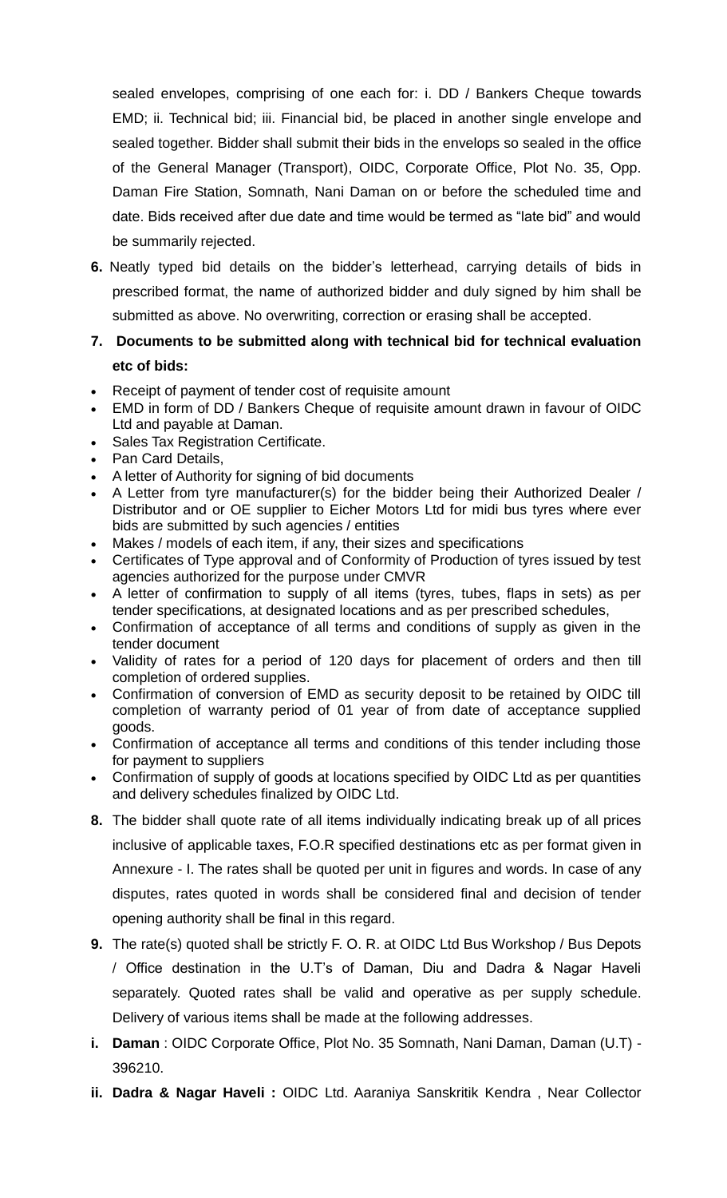sealed envelopes, comprising of one each for: i. DD / Bankers Cheque towards EMD; ii. Technical bid; iii. Financial bid, be placed in another single envelope and sealed together. Bidder shall submit their bids in the envelops so sealed in the office of the General Manager (Transport), OIDC, Corporate Office, Plot No. 35, Opp. Daman Fire Station, Somnath, Nani Daman on or before the scheduled time and date. Bids received after due date and time would be termed as "late bid" and would be summarily rejected.

**6.** Neatly typed bid details on the bidder's letterhead, carrying details of bids in prescribed format, the name of authorized bidder and duly signed by him shall be submitted as above. No overwriting, correction or erasing shall be accepted.

# **7. Documents to be submitted along with technical bid for technical evaluation etc of bids:**

- Receipt of payment of tender cost of requisite amount
- EMD in form of DD / Bankers Cheque of requisite amount drawn in favour of OIDC Ltd and payable at Daman.
- Sales Tax Registration Certificate.
- Pan Card Details,
- A letter of Authority for signing of bid documents
- A Letter from tyre manufacturer(s) for the bidder being their Authorized Dealer / Distributor and or OE supplier to Eicher Motors Ltd for midi bus tyres where ever bids are submitted by such agencies / entities
- Makes / models of each item, if any, their sizes and specifications
- Certificates of Type approval and of Conformity of Production of tyres issued by test agencies authorized for the purpose under CMVR
- A letter of confirmation to supply of all items (tyres, tubes, flaps in sets) as per tender specifications, at designated locations and as per prescribed schedules,
- Confirmation of acceptance of all terms and conditions of supply as given in the tender document
- Validity of rates for a period of 120 days for placement of orders and then till completion of ordered supplies.
- Confirmation of conversion of EMD as security deposit to be retained by OIDC till completion of warranty period of 01 year of from date of acceptance supplied goods.
- Confirmation of acceptance all terms and conditions of this tender including those for payment to suppliers
- Confirmation of supply of goods at locations specified by OIDC Ltd as per quantities and delivery schedules finalized by OIDC Ltd.
- **8.** The bidder shall quote rate of all items individually indicating break up of all prices inclusive of applicable taxes, F.O.R specified destinations etc as per format given in Annexure - I. The rates shall be quoted per unit in figures and words. In case of any disputes, rates quoted in words shall be considered final and decision of tender opening authority shall be final in this regard.
- **9.** The rate(s) quoted shall be strictly F. O. R. at OIDC Ltd Bus Workshop / Bus Depots / Office destination in the U.T's of Daman, Diu and Dadra & Nagar Haveli separately. Quoted rates shall be valid and operative as per supply schedule. Delivery of various items shall be made at the following addresses.
- **i. Daman** : OIDC Corporate Office, Plot No. 35 Somnath, Nani Daman, Daman (U.T) 396210.
- **ii. Dadra & Nagar Haveli :** OIDC Ltd. Aaraniya Sanskritik Kendra , Near Collector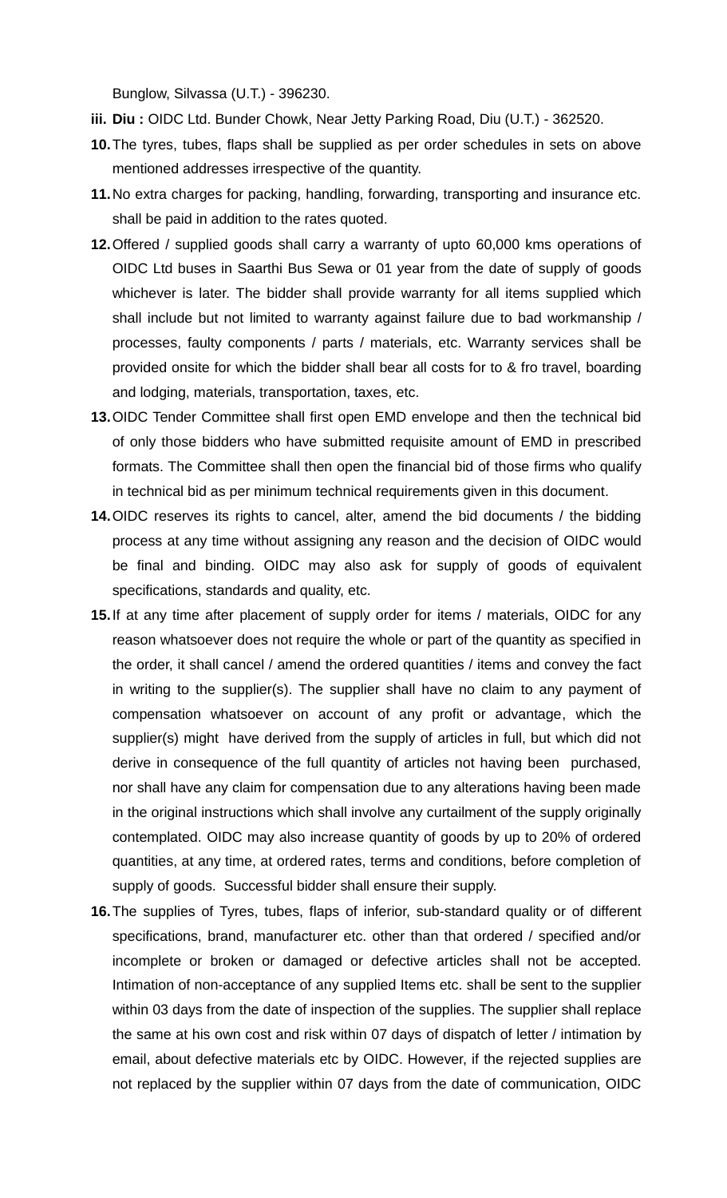Bunglow, Silvassa (U.T.) - 396230.

- **iii. Diu :** OIDC Ltd. Bunder Chowk, Near Jetty Parking Road, Diu (U.T.) 362520.
- **10.**The tyres, tubes, flaps shall be supplied as per order schedules in sets on above mentioned addresses irrespective of the quantity.
- **11.**No extra charges for packing, handling, forwarding, transporting and insurance etc. shall be paid in addition to the rates quoted.
- **12.**Offered / supplied goods shall carry a warranty of upto 60,000 kms operations of OIDC Ltd buses in Saarthi Bus Sewa or 01 year from the date of supply of goods whichever is later. The bidder shall provide warranty for all items supplied which shall include but not limited to warranty against failure due to bad workmanship / processes, faulty components / parts / materials, etc. Warranty services shall be provided onsite for which the bidder shall bear all costs for to & fro travel, boarding and lodging, materials, transportation, taxes, etc.
- **13.**OIDC Tender Committee shall first open EMD envelope and then the technical bid of only those bidders who have submitted requisite amount of EMD in prescribed formats. The Committee shall then open the financial bid of those firms who qualify in technical bid as per minimum technical requirements given in this document.
- **14.**OIDC reserves its rights to cancel, alter, amend the bid documents / the bidding process at any time without assigning any reason and the decision of OIDC would be final and binding. OIDC may also ask for supply of goods of equivalent specifications, standards and quality, etc.
- **15.**If at any time after placement of supply order for items / materials, OIDC for any reason whatsoever does not require the whole or part of the quantity as specified in the order, it shall cancel / amend the ordered quantities / items and convey the fact in writing to the supplier(s). The supplier shall have no claim to any payment of compensation whatsoever on account of any profit or advantage, which the supplier(s) might have derived from the supply of articles in full, but which did not derive in consequence of the full quantity of articles not having been purchased, nor shall have any claim for compensation due to any alterations having been made in the original instructions which shall involve any curtailment of the supply originally contemplated. OIDC may also increase quantity of goods by up to 20% of ordered quantities, at any time, at ordered rates, terms and conditions, before completion of supply of goods. Successful bidder shall ensure their supply.
- **16.**The supplies of Tyres, tubes, flaps of inferior, sub-standard quality or of different specifications, brand, manufacturer etc. other than that ordered / specified and/or incomplete or broken or damaged or defective articles shall not be accepted. Intimation of non-acceptance of any supplied Items etc. shall be sent to the supplier within 03 days from the date of inspection of the supplies. The supplier shall replace the same at his own cost and risk within 07 days of dispatch of letter / intimation by email, about defective materials etc by OIDC. However, if the rejected supplies are not replaced by the supplier within 07 days from the date of communication, OIDC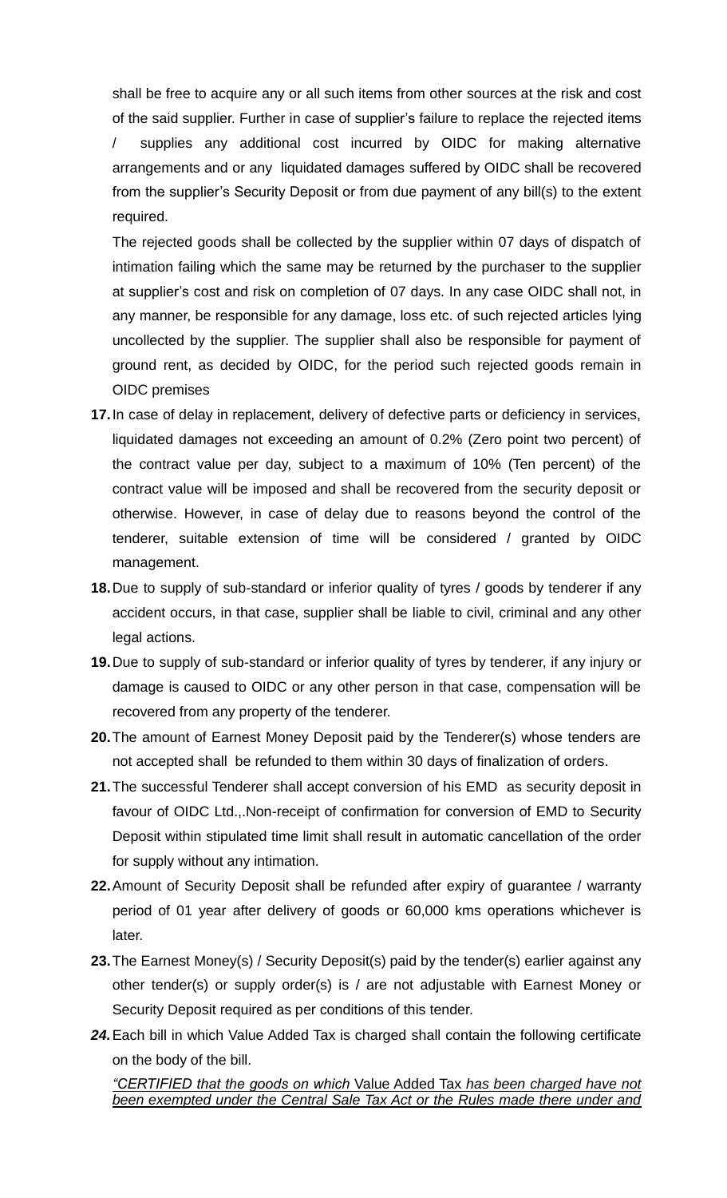shall be free to acquire any or all such items from other sources at the risk and cost of the said supplier. Further in case of supplier's failure to replace the rejected items / supplies any additional cost incurred by OIDC for making alternative arrangements and or any liquidated damages suffered by OIDC shall be recovered from the supplier's Security Deposit or from due payment of any bill(s) to the extent required.

The rejected goods shall be collected by the supplier within 07 days of dispatch of intimation failing which the same may be returned by the purchaser to the supplier at supplier's cost and risk on completion of 07 days. In any case OIDC shall not, in any manner, be responsible for any damage, loss etc. of such rejected articles lying uncollected by the supplier. The supplier shall also be responsible for payment of ground rent, as decided by OIDC, for the period such rejected goods remain in OIDC premises

- **17.**In case of delay in replacement, delivery of defective parts or deficiency in services, liquidated damages not exceeding an amount of 0.2% (Zero point two percent) of the contract value per day, subject to a maximum of 10% (Ten percent) of the contract value will be imposed and shall be recovered from the security deposit or otherwise. However, in case of delay due to reasons beyond the control of the tenderer, suitable extension of time will be considered / granted by OIDC management.
- **18.**Due to supply of sub-standard or inferior quality of tyres / goods by tenderer if any accident occurs, in that case, supplier shall be liable to civil, criminal and any other legal actions.
- **19.**Due to supply of sub-standard or inferior quality of tyres by tenderer, if any injury or damage is caused to OIDC or any other person in that case, compensation will be recovered from any property of the tenderer.
- **20.**The amount of Earnest Money Deposit paid by the Tenderer(s) whose tenders are not accepted shall be refunded to them within 30 days of finalization of orders.
- **21.**The successful Tenderer shall accept conversion of his EMD as security deposit in favour of OIDC Ltd.,.Non-receipt of confirmation for conversion of EMD to Security Deposit within stipulated time limit shall result in automatic cancellation of the order for supply without any intimation.
- **22.**Amount of Security Deposit shall be refunded after expiry of guarantee / warranty period of 01 year after delivery of goods or 60,000 kms operations whichever is later.
- **23.**The Earnest Money(s) / Security Deposit(s) paid by the tender(s) earlier against any other tender(s) or supply order(s) is / are not adjustable with Earnest Money or Security Deposit required as per conditions of this tender.
- *24.*Each bill in which Value Added Tax is charged shall contain the following certificate on the body of the bill.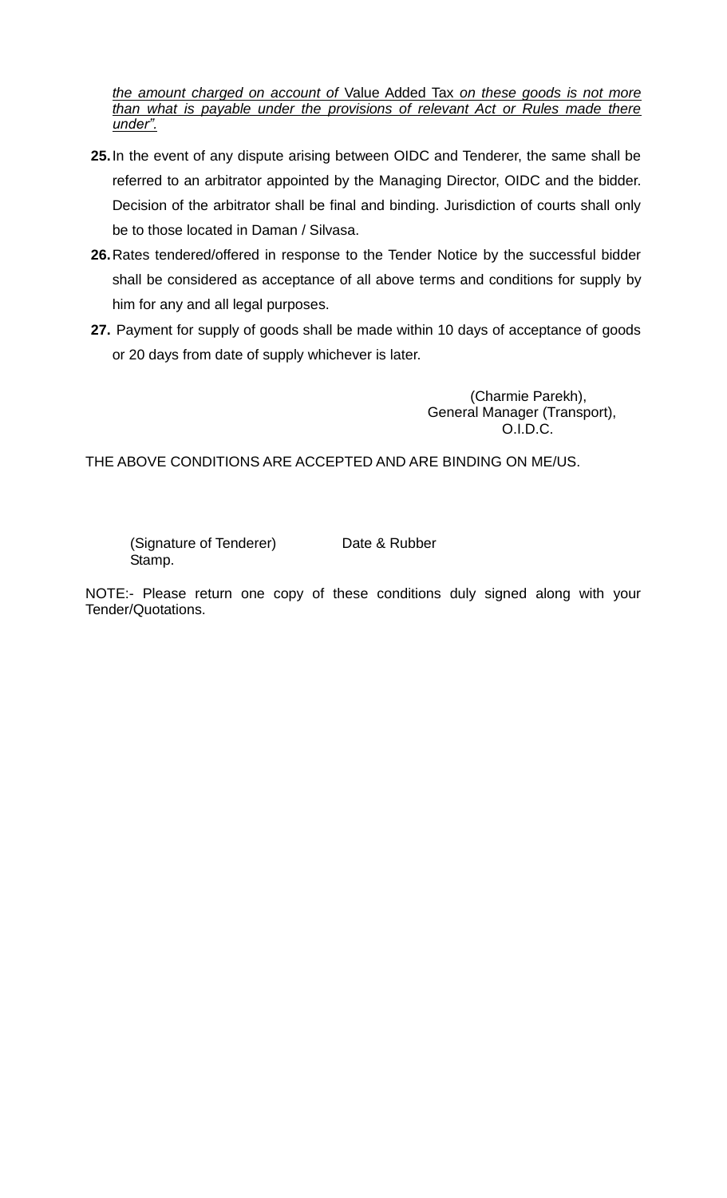*the amount charged on account of* Value Added Tax *on these goods is not more than what is payable under the provisions of relevant Act or Rules made there under".*

- **25.**In the event of any dispute arising between OIDC and Tenderer, the same shall be referred to an arbitrator appointed by the Managing Director, OIDC and the bidder. Decision of the arbitrator shall be final and binding. Jurisdiction of courts shall only be to those located in Daman / Silvasa.
- **26.**Rates tendered/offered in response to the Tender Notice by the successful bidder shall be considered as acceptance of all above terms and conditions for supply by him for any and all legal purposes.
- **27.** Payment for supply of goods shall be made within 10 days of acceptance of goods or 20 days from date of supply whichever is later.

(Charmie Parekh), General Manager (Transport), O.I.D.C.

THE ABOVE CONDITIONS ARE ACCEPTED AND ARE BINDING ON ME/US.

(Signature of Tenderer) Date & Rubber Stamp.

NOTE:- Please return one copy of these conditions duly signed along with your Tender/Quotations.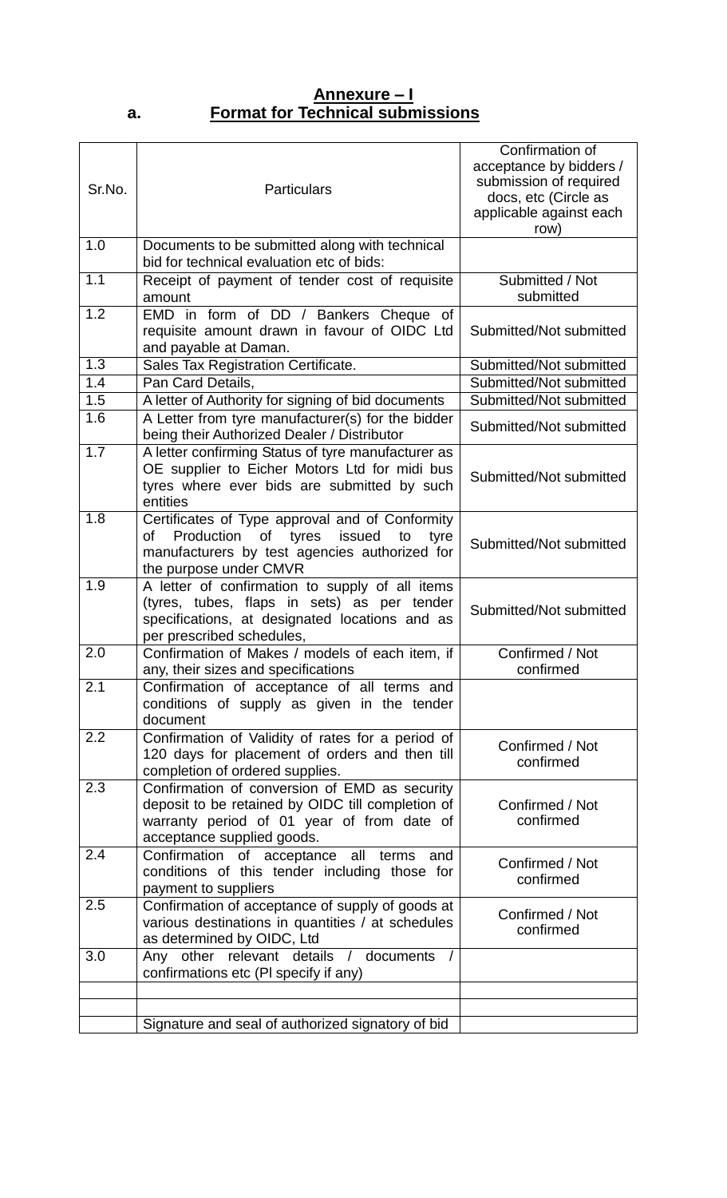# **Annexure – I a. Format for Technical submissions**

| Sr.No.           | <b>Particulars</b>                                                                                                                                                              | Confirmation of<br>acceptance by bidders /<br>submission of required<br>docs, etc (Circle as<br>applicable against each<br>row) |  |
|------------------|---------------------------------------------------------------------------------------------------------------------------------------------------------------------------------|---------------------------------------------------------------------------------------------------------------------------------|--|
| 1.0              | Documents to be submitted along with technical<br>bid for technical evaluation etc of bids:                                                                                     |                                                                                                                                 |  |
| 1.1              | Receipt of payment of tender cost of requisite<br>amount                                                                                                                        | Submitted / Not<br>submitted                                                                                                    |  |
| 1.2              | EMD in form of DD / Bankers Cheque of<br>requisite amount drawn in favour of OIDC Ltd<br>and payable at Daman.                                                                  | Submitted/Not submitted                                                                                                         |  |
| 1.3              | Sales Tax Registration Certificate.                                                                                                                                             | Submitted/Not submitted                                                                                                         |  |
| 1.4              | Pan Card Details,                                                                                                                                                               | Submitted/Not submitted                                                                                                         |  |
| 1.5              | A letter of Authority for signing of bid documents                                                                                                                              | Submitted/Not submitted                                                                                                         |  |
| 1.6              | A Letter from tyre manufacturer(s) for the bidder<br>being their Authorized Dealer / Distributor                                                                                | Submitted/Not submitted                                                                                                         |  |
| 1.7              | A letter confirming Status of tyre manufacturer as<br>OE supplier to Eicher Motors Ltd for midi bus<br>tyres where ever bids are submitted by such<br>entities                  | Submitted/Not submitted                                                                                                         |  |
| 1.8              | Certificates of Type approval and of Conformity<br>Production of<br>tyres issued<br>of<br>to<br>tyre<br>manufacturers by test agencies authorized for<br>the purpose under CMVR | Submitted/Not submitted                                                                                                         |  |
| 1.9              | A letter of confirmation to supply of all items<br>(tyres, tubes, flaps in sets) as per tender<br>specifications, at designated locations and as<br>per prescribed schedules,   | Submitted/Not submitted                                                                                                         |  |
| 2.0              | Confirmation of Makes / models of each item, if<br>any, their sizes and specifications                                                                                          | Confirmed / Not<br>confirmed                                                                                                    |  |
| 2.1              | Confirmation of acceptance of all terms and<br>conditions of supply as given in the tender<br>document                                                                          |                                                                                                                                 |  |
| $\overline{2.2}$ | Confirmation of Validity of rates for a period of<br>120 days for placement of orders and then till<br>completion of ordered supplies.                                          | Confirmed / Not<br>confirmed                                                                                                    |  |
| 2.3              | Confirmation of conversion of EMD as security<br>deposit to be retained by OIDC till completion of<br>warranty period of 01 year of from date of<br>acceptance supplied goods.  | Confirmed / Not<br>confirmed                                                                                                    |  |
| 2.4              | Confirmation of acceptance all<br>terms<br>and<br>conditions of this tender including those for<br>payment to suppliers                                                         | Confirmed / Not<br>confirmed                                                                                                    |  |
| 2.5              | Confirmation of acceptance of supply of goods at<br>various destinations in quantities / at schedules<br>as determined by OIDC, Ltd                                             | Confirmed / Not<br>confirmed                                                                                                    |  |
| 3.0              | Any other relevant details / documents<br>confirmations etc (PI specify if any)                                                                                                 |                                                                                                                                 |  |
|                  |                                                                                                                                                                                 |                                                                                                                                 |  |
|                  |                                                                                                                                                                                 |                                                                                                                                 |  |
|                  | Signature and seal of authorized signatory of bid                                                                                                                               |                                                                                                                                 |  |